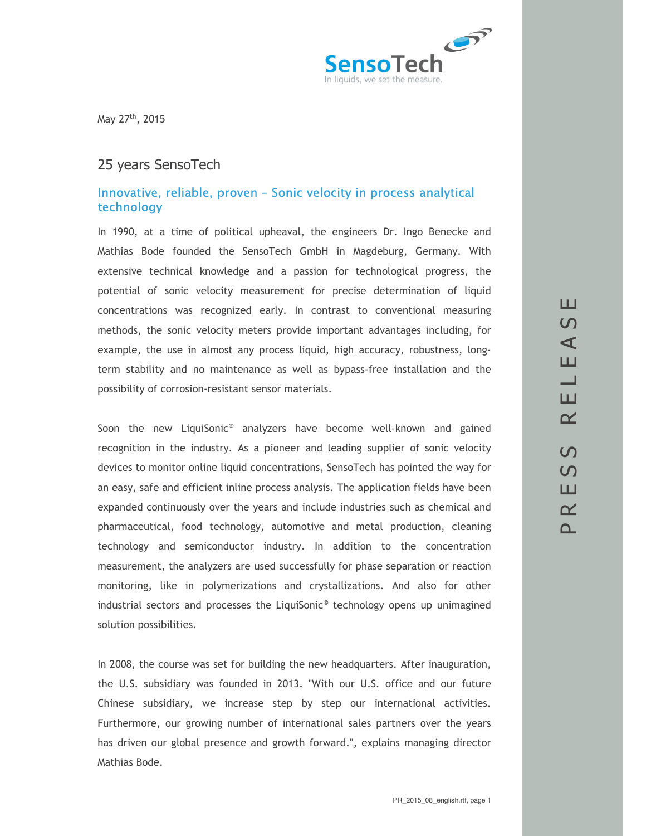

May 27th, 2015

## 25 years SensoTech

#### *Innovative, reliable, proven – Sonic velocity in process analytical technology*

In 1990, at a time of political upheaval, the engineers Dr. Ingo Benecke and Mathias Bode founded the SensoTech GmbH in Magdeburg, Germany. With extensive technical knowledge and a passion for technological progress, the potential of sonic velocity measurement for precise determination of liquid concentrations was recognized early. In contrast to conventional measuring methods, the sonic velocity meters provide important advantages including, for example, the use in almost any process liquid, high accuracy, robustness, longterm stability and no maintenance as well as bypass-free installation and the possibility of corrosion-resistant sensor materials.

Soon the new LiquiSonic<sup>®</sup> analyzers have become well-known and gained recognition in the industry. As a pioneer and leading supplier of sonic velocity devices to monitor online liquid concentrations, SensoTech has pointed the way for an easy, safe and efficient inline process analysis. The application fields have been expanded continuously over the years and include industries such as chemical and pharmaceutical, food technology, automotive and metal production, cleaning technology and semiconductor industry. In addition to the concentration measurement, the analyzers are used successfully for phase separation or reaction monitoring, like in polymerizations and crystallizations. And also for other industrial sectors and processes the LiquiSonic® technology opens up unimagined solution possibilities.

In 2008, the course was set for building the new headquarters. After inauguration, the U.S. subsidiary was founded in 2013. "With our U.S. office and our future Chinese subsidiary, we increase step by step our international activities. Furthermore, our growing number of international sales partners over the years has driven our global presence and growth forward.", explains managing director Mathias Bode.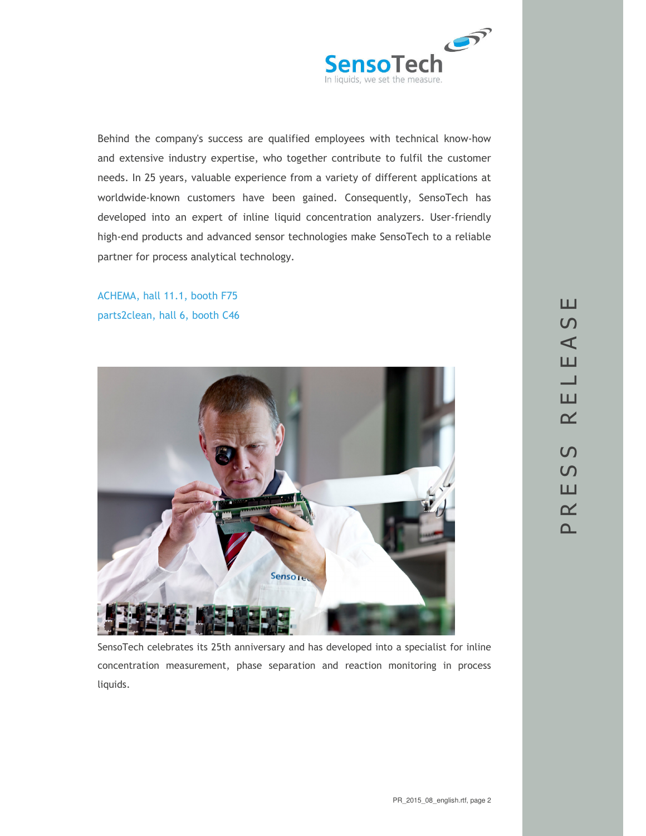

Behind the company's success are qualified employees with technical know-how and extensive industry expertise, who together contribute to fulfil the customer needs. In 25 years, valuable experience from a variety of different applications at worldwide-known customers have been gained. Consequently, SensoTech has developed into an expert of inline liquid concentration analyzers. User-friendly high-end products and advanced sensor technologies make SensoTech to a reliable partner for process analytical technology.

ACHEMA, hall 11.1, booth F75 parts2clean, hall 6, booth C46



SensoTech celebrates its 25th anniversary and has developed into a specialist for inline concentration measurement, phase separation and reaction monitoring in process liquids.